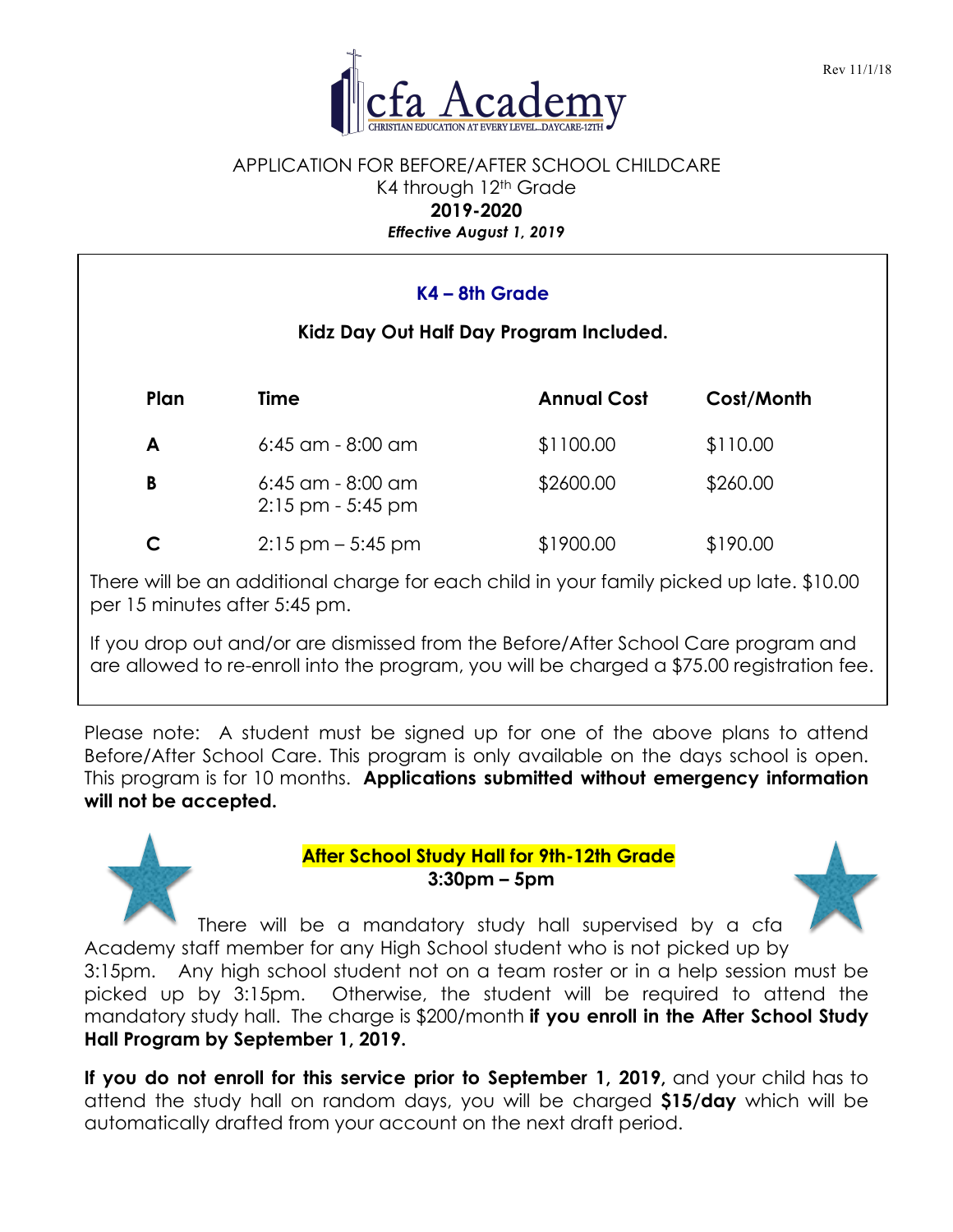

### APPLICATION FOR BEFORE/AFTER SCHOOL CHILDCARE K4 through 12<sup>th</sup> Grade **2019-2020** *Effective August 1, 2019*

| $K4 - 8th$ Grade<br>Kidz Day Out Half Day Program Included. |                                              |                    |            |  |  |  |  |
|-------------------------------------------------------------|----------------------------------------------|--------------------|------------|--|--|--|--|
| Plan                                                        | Time                                         | <b>Annual Cost</b> | Cost/Month |  |  |  |  |
| A                                                           | $6:45$ am - $8:00$ am                        | \$1100.00          | \$110.00   |  |  |  |  |
| B                                                           | $6:45$ am - $8:00$ am<br>$2:15$ pm - 5:45 pm | \$2600.00          | \$260.00   |  |  |  |  |
| C                                                           | $2:15$ pm $-5:45$ pm                         | \$1900.00          | \$190.00   |  |  |  |  |

There will be an additional charge for each child in your family picked up late. \$10.00 per 15 minutes after 5:45 pm.

If you drop out and/or are dismissed from the Before/After School Care program and are allowed to re-enroll into the program, you will be charged a \$75.00 registration fee.

Please note: A student must be signed up for one of the above plans to attend Before/After School Care. This program is only available on the days school is open. This program is for 10 months. **Applications submitted without emergency information will not be accepted.**

> **After School Study Hall for 9th-12th Grade 3:30pm – 5pm**



There will be a mandatory study hall supervised by a cfa Academy staff member for any High School student who is not picked up by

3:15pm. Any high school student not on a team roster or in a help session must be picked up by 3:15pm. Otherwise, the student will be required to attend the mandatory study hall. The charge is \$200/month **if you enroll in the After School Study Hall Program by September 1, 2019.**

**If you do not enroll for this service prior to September 1, 2019,** and your child has to attend the study hall on random days, you will be charged **\$15/day** which will be automatically drafted from your account on the next draft period.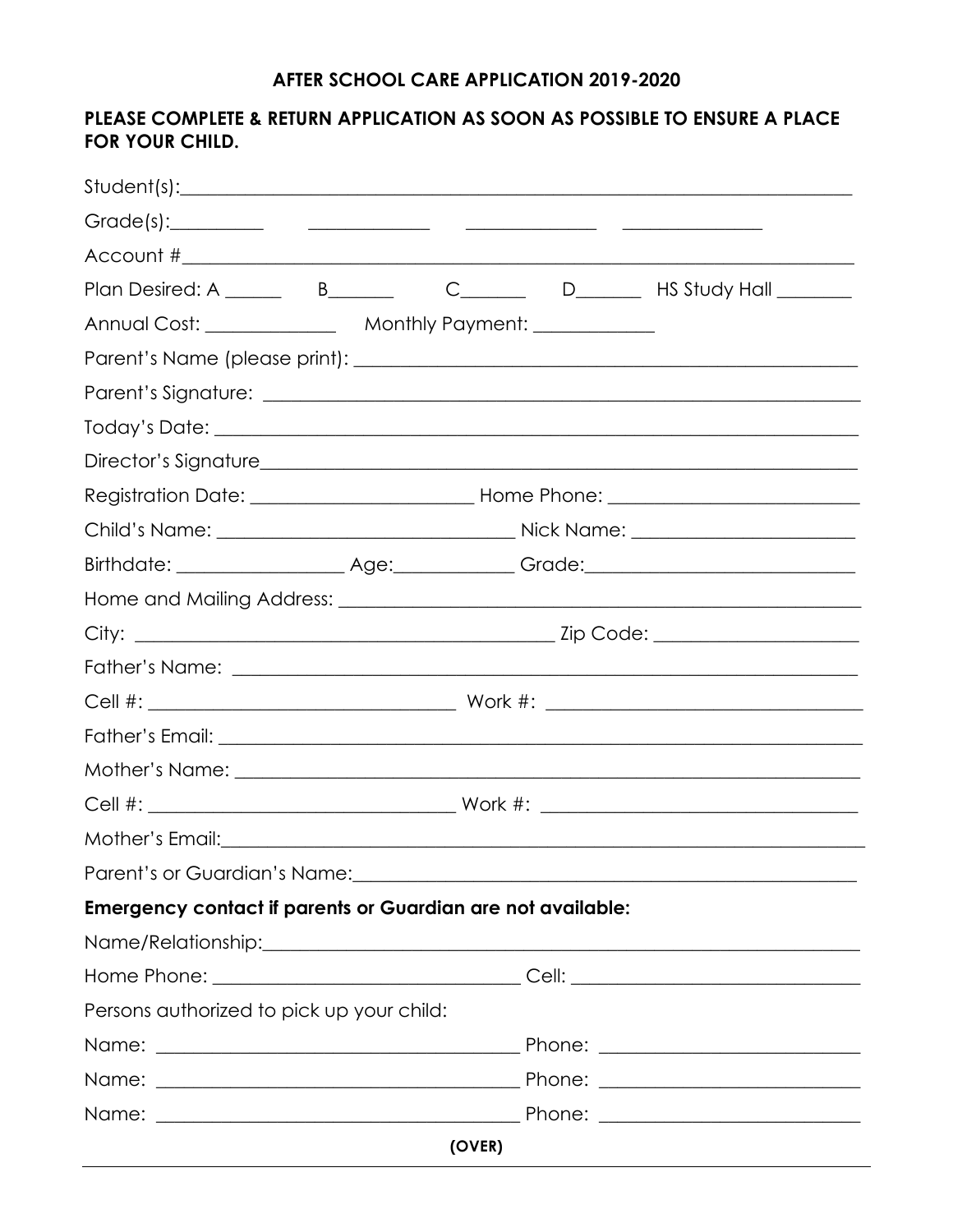# AFTER SCHOOL CARE APPLICATION 2019-2020

# PLEASE COMPLETE & RETURN APPLICATION AS SOON AS POSSIBLE TO ENSURE A PLACE FOR YOUR CHILD.

|                                                                    |        | Plan Desired: A ______ B______ C_____ D_____ HS Study Hall ______                                               |
|--------------------------------------------------------------------|--------|-----------------------------------------------------------------------------------------------------------------|
|                                                                    |        |                                                                                                                 |
|                                                                    |        |                                                                                                                 |
|                                                                    |        |                                                                                                                 |
|                                                                    |        |                                                                                                                 |
|                                                                    |        |                                                                                                                 |
|                                                                    |        |                                                                                                                 |
|                                                                    |        |                                                                                                                 |
|                                                                    |        |                                                                                                                 |
|                                                                    |        |                                                                                                                 |
|                                                                    |        |                                                                                                                 |
|                                                                    |        |                                                                                                                 |
|                                                                    |        |                                                                                                                 |
|                                                                    |        |                                                                                                                 |
|                                                                    |        |                                                                                                                 |
|                                                                    |        |                                                                                                                 |
|                                                                    |        |                                                                                                                 |
|                                                                    |        | Parent's or Guardian's Name: 1988 and 1989 and 1989 and 1989 and 1989 and 1989 and 1989 and 1989 and 1989 and 1 |
| <b>Emergency contact if parents or Guardian are not available:</b> |        |                                                                                                                 |
|                                                                    |        |                                                                                                                 |
|                                                                    |        |                                                                                                                 |
| Persons authorized to pick up your child:                          |        |                                                                                                                 |
|                                                                    |        |                                                                                                                 |
|                                                                    |        |                                                                                                                 |
|                                                                    |        |                                                                                                                 |
|                                                                    | (OVER) |                                                                                                                 |